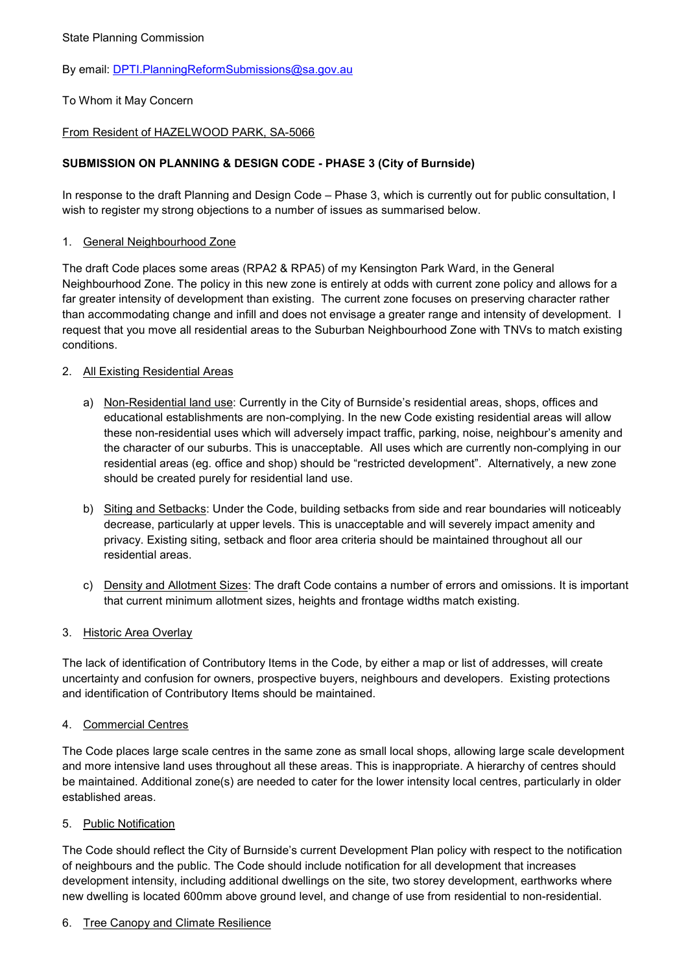## State Planning Commission

# By email: [DPTI.PlanningReformSubmissions@sa.gov.au](mailto:DPTI.PlanningReformSubmissions@sa.gov.au)

# To Whom it May Concern

# From Resident of HAZELWOOD PARK, SA-5066

# **SUBMISSION ON PLANNING & DESIGN CODE - PHASE 3 (City of Burnside)**

In response to the draft Planning and Design Code – Phase 3, which is currently out for public consultation, I wish to register my strong objections to a number of issues as summarised below.

#### 1. General Neighbourhood Zone

The draft Code places some areas (RPA2 & RPA5) of my Kensington Park Ward, in the General Neighbourhood Zone. The policy in this new zone is entirely at odds with current zone policy and allows for a far greater intensity of development than existing. The current zone focuses on preserving character rather than accommodating change and infill and does not envisage a greater range and intensity of development. I request that you move all residential areas to the Suburban Neighbourhood Zone with TNVs to match existing conditions.

#### 2. All Existing Residential Areas

- a) Non-Residential land use: Currently in the City of Burnside's residential areas, shops, offices and educational establishments are non-complying. In the new Code existing residential areas will allow these non-residential uses which will adversely impact traffic, parking, noise, neighbour's amenity and the character of our suburbs. This is unacceptable. All uses which are currently non-complying in our residential areas (eg. office and shop) should be "restricted development". Alternatively, a new zone should be created purely for residential land use.
- b) Siting and Setbacks: Under the Code, building setbacks from side and rear boundaries will noticeably decrease, particularly at upper levels. This is unacceptable and will severely impact amenity and privacy. Existing siting, setback and floor area criteria should be maintained throughout all our residential areas.
- c) Density and Allotment Sizes: The draft Code contains a number of errors and omissions. It is important that current minimum allotment sizes, heights and frontage widths match existing.

#### 3. Historic Area Overlay

The lack of identification of Contributory Items in the Code, by either a map or list of addresses, will create uncertainty and confusion for owners, prospective buyers, neighbours and developers. Existing protections and identification of Contributory Items should be maintained.

#### 4. Commercial Centres

The Code places large scale centres in the same zone as small local shops, allowing large scale development and more intensive land uses throughout all these areas. This is inappropriate. A hierarchy of centres should be maintained. Additional zone(s) are needed to cater for the lower intensity local centres, particularly in older established areas.

#### 5. Public Notification

The Code should reflect the City of Burnside's current Development Plan policy with respect to the notification of neighbours and the public. The Code should include notification for all development that increases development intensity, including additional dwellings on the site, two storey development, earthworks where new dwelling is located 600mm above ground level, and change of use from residential to non-residential.

#### 6. Tree Canopy and Climate Resilience